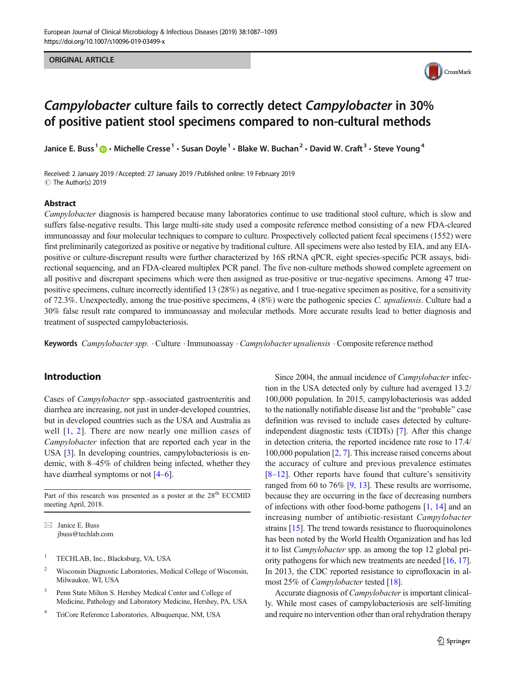### ORIGINAL ARTICLE



# Campylobacter culture fails to correctly detect Campylobacter in 30% of positive patient stool specimens compared to non-cultural methods

Janice E. Buss<sup>1</sup>  $\cdot$  Michelle Cresse<sup>1</sup>  $\cdot$  Susan Doyle<sup>1</sup>  $\cdot$  Blake W. Buchan<sup>2</sup>  $\cdot$  David W. Craft<sup>3</sup>  $\cdot$  Steve Young<sup>4</sup>

Received: 2 January 2019 /Accepted: 27 January 2019 /Published online: 19 February 2019 C The Author(s) 2019

## Abstract

Campylobacter diagnosis is hampered because many laboratories continue to use traditional stool culture, which is slow and suffers false-negative results. This large multi-site study used a composite reference method consisting of a new FDA-cleared immunoassay and four molecular techniques to compare to culture. Prospectively collected patient fecal specimens (1552) were first preliminarily categorized as positive or negative by traditional culture. All specimens were also tested by EIA, and any EIApositive or culture-discrepant results were further characterized by 16S rRNA qPCR, eight species-specific PCR assays, bidirectional sequencing, and an FDA-cleared multiplex PCR panel. The five non-culture methods showed complete agreement on all positive and discrepant specimens which were then assigned as true-positive or true-negative specimens. Among 47 truepositive specimens, culture incorrectly identified 13 (28%) as negative, and 1 true-negative specimen as positive, for a sensitivity of 72.3%. Unexpectedly, among the true-positive specimens, 4 (8%) were the pathogenic species C. upsaliensis. Culture had a 30% false result rate compared to immunoassay and molecular methods. More accurate results lead to better diagnosis and treatment of suspected campylobacteriosis.

Keywords Campylobacter spp. . Culture . Immunoassay . Campylobacter upsaliensis . Composite reference method

# Introduction

Cases of Campylobacter spp.-associated gastroenteritis and diarrhea are increasing, not just in under-developed countries, but in developed countries such as the USA and Australia as well  $[1, 2]$  $[1, 2]$  $[1, 2]$ . There are now nearly one million cases of Campylobacter infection that are reported each year in the USA [\[3\]](#page-5-0). In developing countries, campylobacteriosis is endemic, with 8–45% of children being infected, whether they have diarrheal symptoms or not [\[4](#page-5-0)–[6](#page-5-0)].

Part of this research was presented as a poster at the 28<sup>th</sup> ECCMID meeting April, 2018.

 $\boxtimes$  Janice E. Buss [jbuss@techlab.com](mailto:jbuss@techlab.com)

- <sup>1</sup> TECHLAB, Inc., Blacksburg, VA, USA
- <sup>2</sup> Wisconsin Diagnostic Laboratories, Medical College of Wisconsin, Milwaukee, WI, USA
- <sup>3</sup> Penn State Milton S. Hershey Medical Center and College of Medicine, Pathology and Laboratory Medicine, Hershey, PA, USA
- <sup>4</sup> TriCore Reference Laboratories, Albuquerque, NM, USA

Since 2004, the annual incidence of Campylobacter infection in the USA detected only by culture had averaged 13.2/ 100,000 population. In 2015, campylobacteriosis was added to the nationally notifiable disease list and the "probable" case definition was revised to include cases detected by cultureindependent diagnostic tests (CIDTs) [[7\]](#page-5-0). After this change in detection criteria, the reported incidence rate rose to 17.4/ 100,000 population [[2](#page-5-0), [7\]](#page-5-0). This increase raised concerns about the accuracy of culture and previous prevalence estimates [\[8](#page-5-0)–[12](#page-5-0)]. Other reports have found that culture's sensitivity ranged from 60 to 76% [[9,](#page-5-0) [13\]](#page-5-0). These results are worrisome, because they are occurring in the face of decreasing numbers of infections with other food-borne pathogens [\[1,](#page-5-0) [14\]](#page-5-0) and an increasing number of antibiotic-resistant Campylobacter strains [[15\]](#page-5-0). The trend towards resistance to fluoroquinolones has been noted by the World Health Organization and has led it to list Campylobacter spp. as among the top 12 global priority pathogens for which new treatments are needed [\[16](#page-5-0), [17\]](#page-5-0). In 2013, the CDC reported resistance to ciprofloxacin in almost 25% of Campylobacter tested [[18](#page-6-0)].

Accurate diagnosis of Campylobacter is important clinically. While most cases of campylobacteriosis are self-limiting and require no intervention other than oral rehydration therapy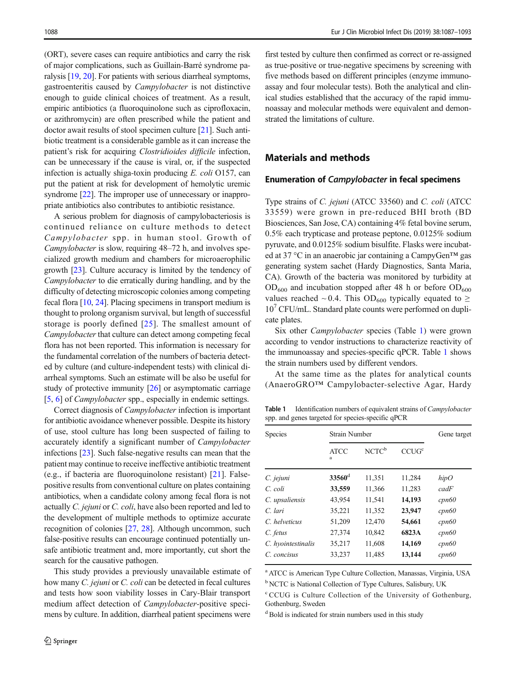<span id="page-1-0"></span>(ORT), severe cases can require antibiotics and carry the risk of major complications, such as Guillain-Barré syndrome paralysis [\[19](#page-6-0), [20\]](#page-6-0). For patients with serious diarrheal symptoms, gastroenteritis caused by Campylobacter is not distinctive enough to guide clinical choices of treatment. As a result, empiric antibiotics (a fluoroquinolone such as ciprofloxacin, or azithromycin) are often prescribed while the patient and doctor await results of stool specimen culture [[21\]](#page-6-0). Such antibiotic treatment is a considerable gamble as it can increase the patient's risk for acquiring Clostridioides difficile infection, can be unnecessary if the cause is viral, or, if the suspected infection is actually shiga-toxin producing E. coli O157, can put the patient at risk for development of hemolytic uremic syndrome [\[22\]](#page-6-0). The improper use of unnecessary or inappropriate antibiotics also contributes to antibiotic resistance.

A serious problem for diagnosis of campylobacteriosis is continued reliance on culture methods to detect Campylobacter spp. in human stool. Growth of Campylobacter is slow, requiring 48–72 h, and involves specialized growth medium and chambers for microaerophilic growth [\[23\]](#page-6-0). Culture accuracy is limited by the tendency of Campylobacter to die erratically during handling, and by the difficulty of detecting microscopic colonies among competing fecal flora [[10](#page-5-0), [24\]](#page-6-0). Placing specimens in transport medium is thought to prolong organism survival, but length of successful storage is poorly defined [\[25\]](#page-6-0). The smallest amount of Campylobacter that culture can detect among competing fecal flora has not been reported. This information is necessary for the fundamental correlation of the numbers of bacteria detected by culture (and culture-independent tests) with clinical diarrheal symptoms. Such an estimate will be also be useful for study of protective immunity [[26\]](#page-6-0) or asymptomatic carriage [\[5,](#page-5-0) [6\]](#page-5-0) of *Campylobacter* spp., especially in endemic settings.

Correct diagnosis of Campylobacter infection is important for antibiotic avoidance whenever possible. Despite its history of use, stool culture has long been suspected of failing to accurately identify a significant number of Campylobacter infections [[23\]](#page-6-0). Such false-negative results can mean that the patient may continue to receive ineffective antibiotic treatment (e.g., if bacteria are fluoroquinolone resistant) [[21\]](#page-6-0). Falsepositive results from conventional culture on plates containing antibiotics, when a candidate colony among fecal flora is not actually C. jejuni or C. coli, have also been reported and led to the development of multiple methods to optimize accurate recognition of colonies [[27,](#page-6-0) [28\]](#page-6-0). Although uncommon, such false-positive results can encourage continued potentially unsafe antibiotic treatment and, more importantly, cut short the search for the causative pathogen.

This study provides a previously unavailable estimate of how many *C. jejuni* or *C. coli* can be detected in fecal cultures and tests how soon viability losses in Cary-Blair transport medium affect detection of Campylobacter-positive specimens by culture. In addition, diarrheal patient specimens were

first tested by culture then confirmed as correct or re-assigned as true-positive or true-negative specimens by screening with five methods based on different principles (enzyme immunoassay and four molecular tests). Both the analytical and clinical studies established that the accuracy of the rapid immunoassay and molecular methods were equivalent and demonstrated the limitations of culture.

# Materials and methods

## Enumeration of Campylobacter in fecal specimens

Type strains of C. jejuni (ATCC 33560) and C. coli (ATCC 33559) were grown in pre-reduced BHI broth (BD Biosciences, San Jose, CA) containing 4% fetal bovine serum, 0.5% each trypticase and protease peptone, 0.0125% sodium pyruvate, and 0.0125% sodium bisulfite. Flasks were incubated at 37 °C in an anaerobic jar containing a CampyGen™ gas generating system sachet (Hardy Diagnostics, Santa Maria, CA). Growth of the bacteria was monitored by turbidity at  $OD_{600}$  and incubation stopped after 48 h or before  $OD_{600}$ values reached ~ 0.4. This OD<sub>600</sub> typically equated to  $\geq$  $10<sup>7</sup> CFU/mL$ . Standard plate counts were performed on duplicate plates.

Six other Campylobacter species (Table 1) were grown according to vendor instructions to characterize reactivity of the immunoassay and species-specific qPCR. Table 1 shows the strain numbers used by different vendors.

At the same time as the plates for analytical counts (AnaeroGRO™ Campylobacter-selective Agar, Hardy

Table 1 Identification numbers of equivalent strains of *Campylobacter* spp. and genes targeted for species-specific qPCR

| Species            | Strain Number        |                   |                   | Gene target |
|--------------------|----------------------|-------------------|-------------------|-------------|
|                    | <b>ATCC</b><br>a     | NCTC <sup>b</sup> | CCUG <sup>c</sup> |             |
| C. jejuni          | $33560$ <sup>d</sup> | 11,351            | 11,284            | hipO        |
| C. coli            | 33,559               | 11,366            | 11,283            | cadF        |
| C. upsaliensis     | 43,954               | 11,541            | 14,193            | cm60        |
| C. lari            | 35,221               | 11,352            | 23,947            | cm60        |
| C. helveticus      | 51,209               | 12.470            | 54,661            | cm60        |
| C. fetus           | 27,374               | 10.842            | 6823A             | cpn60       |
| C. hyointestinalis | 35,217               | 11,608            | 14,169            | cpn60       |
| C. concisus        | 33,237               | 11,485            | 13,144            | cpn60       |

<sup>a</sup> ATCC is American Type Culture Collection, Manassas, Virginia, USA

<sup>c</sup> CCUG is Culture Collection of the University of Gothenburg, Gothenburg, Sweden

<sup>d</sup>Bold is indicated for strain numbers used in this study

<sup>b</sup> NCTC is National Collection of Type Cultures, Salisbury, UK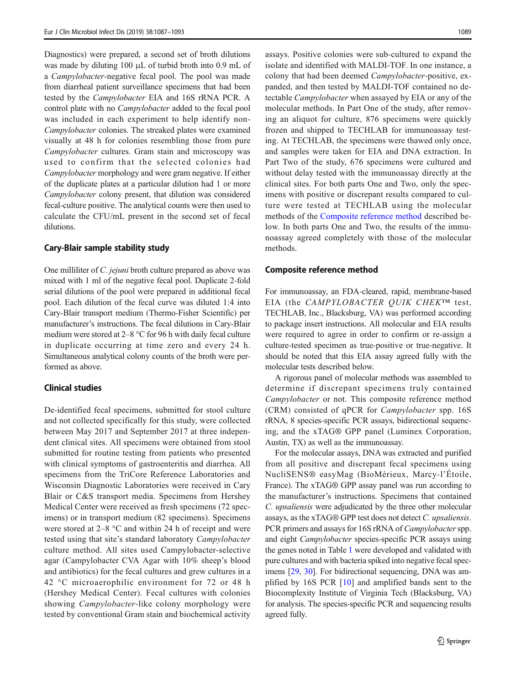Diagnostics) were prepared, a second set of broth dilutions was made by diluting 100 μL of turbid broth into 0.9 mL of a Campylobacter-negative fecal pool. The pool was made from diarrheal patient surveillance specimens that had been tested by the Campylobacter EIA and 16S rRNA PCR. A control plate with no Campylobacter added to the fecal pool was included in each experiment to help identify non-Campylobacter colonies. The streaked plates were examined visually at 48 h for colonies resembling those from pure Campylobacter cultures. Gram stain and microscopy was used to confirm that the selected colonies had Campylobacter morphology and were gram negative. If either of the duplicate plates at a particular dilution had 1 or more Campylobacter colony present, that dilution was considered fecal-culture positive. The analytical counts were then used to calculate the CFU/mL present in the second set of fecal dilutions.

#### Cary-Blair sample stability study

One milliliter of C. jejuni broth culture prepared as above was mixed with 1 ml of the negative fecal pool. Duplicate 2-fold serial dilutions of the pool were prepared in additional fecal pool. Each dilution of the fecal curve was diluted 1:4 into Cary-Blair transport medium (Thermo-Fisher Scientific) per manufacturer's instructions. The fecal dilutions in Cary-Blair medium were stored at 2–8 °C for 96 h with daily fecal culture in duplicate occurring at time zero and every 24 h. Simultaneous analytical colony counts of the broth were performed as above.

## Clinical studies

De-identified fecal specimens, submitted for stool culture and not collected specifically for this study, were collected between May 2017 and September 2017 at three independent clinical sites. All specimens were obtained from stool submitted for routine testing from patients who presented with clinical symptoms of gastroenteritis and diarrhea. All specimens from the TriCore Reference Laboratories and Wisconsin Diagnostic Laboratories were received in Cary Blair or C&S transport media. Specimens from Hershey Medical Center were received as fresh specimens (72 specimens) or in transport medium (82 specimens). Specimens were stored at 2–8 °C and within 24 h of receipt and were tested using that site's standard laboratory Campylobacter culture method. All sites used Campylobacter-selective agar (Campylobacter CVA Agar with 10% sheep's blood and antibiotics) for the fecal cultures and grew cultures in a 42 °C microaerophilic environment for 72 or 48 h (Hershey Medical Center). Fecal cultures with colonies showing *Campylobacter*-like colony morphology were tested by conventional Gram stain and biochemical activity

assays. Positive colonies were sub-cultured to expand the isolate and identified with MALDI-TOF. In one instance, a colony that had been deemed Campylobacter-positive, expanded, and then tested by MALDI-TOF contained no detectable Campylobacter when assayed by EIA or any of the molecular methods. In Part One of the study, after removing an aliquot for culture, 876 specimens were quickly frozen and shipped to TECHLAB for immunoassay testing. At TECHLAB, the specimens were thawed only once, and samples were taken for EIA and DNA extraction. In Part Two of the study, 676 specimens were cultured and without delay tested with the immunoassay directly at the clinical sites. For both parts One and Two, only the specimens with positive or discrepant results compared to culture were tested at TECHLAB using the molecular methods of the Composite reference method described below. In both parts One and Two, the results of the immunoassay agreed completely with those of the molecular methods.

## Composite reference method

For immunoassay, an FDA-cleared, rapid, membrane-based EIA (the CAMPYLOBACTER QUIK CHEKTM test, TECHLAB, Inc., Blacksburg, VA) was performed according to package insert instructions. All molecular and EIA results were required to agree in order to confirm or re-assign a culture-tested specimen as true-positive or true-negative. It should be noted that this EIA assay agreed fully with the molecular tests described below.

A rigorous panel of molecular methods was assembled to determine if discrepant specimens truly contained Campylobacter or not. This composite reference method (CRM) consisted of qPCR for Campylobacter spp. 16S rRNA, 8 species-specific PCR assays, bidirectional sequencing, and the xTAG® GPP panel (Luminex Corporation, Austin, TX) as well as the immunoassay.

For the molecular assays, DNA was extracted and purified from all positive and discrepant fecal specimens using NucliSENS® easyMag (BioMérieux, Marcy-l'Étoile, France). The xTAG® GPP assay panel was run according to the manufacturer's instructions. Specimens that contained C. upsaliensis were adjudicated by the three other molecular assays, as the xTAG® GPP test does not detect C. upsaliensis. PCR primers and assays for 16S rRNA of Campylobacter spp. and eight *Campylobacter* species-specific PCR assays using the genes noted in Table [1](#page-1-0) were developed and validated with pure cultures and with bacteria spiked into negative fecal specimens [[29](#page-6-0), [30\]](#page-6-0). For bidirectional sequencing, DNA was amplified by 16S PCR [[10\]](#page-5-0) and amplified bands sent to the Biocomplexity Institute of Virginia Tech (Blacksburg, VA) for analysis. The species-specific PCR and sequencing results agreed fully.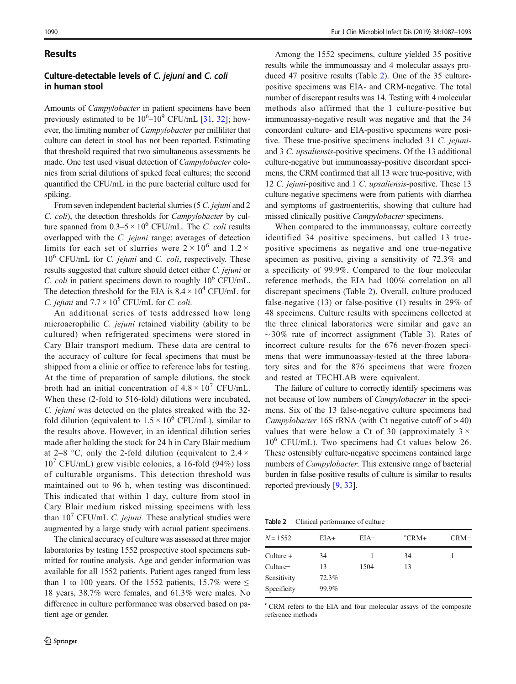## Results

# Culture-detectable levels of C. jejuni and C. coli in human stool

Amounts of Campylobacter in patient specimens have been previously estimated to be  $10^6 - 10^9$  CFU/mL [[31,](#page-6-0) [32](#page-6-0)]; however, the limiting number of Campylobacter per milliliter that culture can detect in stool has not been reported. Estimating that threshold required that two simultaneous assessments be made. One test used visual detection of Campylobacter colonies from serial dilutions of spiked fecal cultures; the second quantified the CFU/mL in the pure bacterial culture used for spiking.

From seven independent bacterial slurries (5 C. jejuni and 2 C. coli), the detection thresholds for Campylobacter by culture spanned from  $0.3-5 \times 10^6$  CFU/mL. The *C. coli* results overlapped with the C. jejuni range; averages of detection limits for each set of slurries were  $2 \times 10^6$  and  $1.2 \times$  $10^6$  CFU/mL for *C. jejuni* and *C. coli*, respectively. These results suggested that culture should detect either C. jejuni or *C. coli* in patient specimens down to roughly  $10^6$  CFU/mL. The detection threshold for the EIA is  $8.4 \times 10^4$  CFU/mL for *C. jejuni* and  $7.7 \times 10^5$  CFU/mL for *C. coli.* 

An additional series of tests addressed how long microaerophilic C. jejuni retained viability (ability to be cultured) when refrigerated specimens were stored in Cary Blair transport medium. These data are central to the accuracy of culture for fecal specimens that must be shipped from a clinic or office to reference labs for testing. At the time of preparation of sample dilutions, the stock broth had an initial concentration of  $4.8 \times 10^7$  CFU/mL. When these (2-fold to 516-fold) dilutions were incubated, C. jejuni was detected on the plates streaked with the 32 fold dilution (equivalent to  $1.5 \times 10^6$  CFU/mL), similar to the results above. However, in an identical dilution series made after holding the stock for 24 h in Cary Blair medium at 2–8 °C, only the 2-fold dilution (equivalent to 2.4  $\times$  $10^7$  CFU/mL) grew visible colonies, a 16-fold (94%) loss of culturable organisms. This detection threshold was maintained out to 96 h, when testing was discontinued. This indicated that within 1 day, culture from stool in Cary Blair medium risked missing specimens with less than  $10^7$  CFU/mL C. jejuni. These analytical studies were augmented by a large study with actual patient specimens.

The clinical accuracy of culture was assessed at three major laboratories by testing 1552 prospective stool specimens submitted for routine analysis. Age and gender information was available for all 1552 patients. Patient ages ranged from less than 1 to 100 years. Of the 1552 patients, 15.7% were  $\leq$ 18 years, 38.7% were females, and 61.3% were males. No difference in culture performance was observed based on patient age or gender.

Among the 1552 specimens, culture yielded 35 positive results while the immunoassay and 4 molecular assays produced 47 positive results (Table 2). One of the 35 culturepositive specimens was EIA- and CRM-negative. The total number of discrepant results was 14. Testing with 4 molecular methods also affirmed that the 1 culture-positive but immunoassay-negative result was negative and that the 34 concordant culture- and EIA-positive specimens were positive. These true-positive specimens included 31 C. jejuniand 3 C. upsaliensis-positive specimens. Of the 13 additional culture-negative but immunoassay-positive discordant specimens, the CRM confirmed that all 13 were true-positive, with 12 C. jejuni-positive and 1 C. upsaliensis-positive. These 13 culture-negative specimens were from patients with diarrhea and symptoms of gastroenteritis, showing that culture had missed clinically positive Campylobacter specimens.

When compared to the immunoassay, culture correctly identified 34 positive specimens, but called 13 truepositive specimens as negative and one true-negative specimen as positive, giving a sensitivity of 72.3% and a specificity of 99.9%. Compared to the four molecular reference methods, the EIA had 100% correlation on all discrepant specimens (Table 2). Overall, culture produced false-negative (13) or false-positive (1) results in 29% of 48 specimens. Culture results with specimens collected at the three clinical laboratories were similar and gave an  $\sim$  30% rate of incorrect assignment (Table [3\)](#page-4-0). Rates of incorrect culture results for the 676 never-frozen specimens that were immunoassay-tested at the three laboratory sites and for the 876 specimens that were frozen and tested at TECHLAB were equivalent.

The failure of culture to correctly identify specimens was not because of low numbers of Campylobacter in the specimens. Six of the 13 false-negative culture specimens had Campylobacter 16S rRNA (with Ct negative cutoff of > 40) values that were below a Ct of 30 (approximately  $3 \times$  $10^6$  CFU/mL). Two specimens had Ct values below 26. These ostensibly culture-negative specimens contained large numbers of Campylobacter. This extensive range of bacterial burden in false-positive results of culture is similar to results reported previously [\[9](#page-5-0), [33](#page-6-0)].

Table 2 Clinical performance of culture

| $N = 1552$  | $EIA+$ | $EIA-$ | ${}^a$ CRM+ | $CRM-$ |  |  |
|-------------|--------|--------|-------------|--------|--|--|
| $Culture +$ | 34     |        | 34          |        |  |  |
| $Culture-$  | 13     | 1504   | 13          |        |  |  |
| Sensitivity | 72.3%  |        |             |        |  |  |
| Specificity | 99.9%  |        |             |        |  |  |

<sup>a</sup> CRM refers to the EIA and four molecular assays of the composite reference methods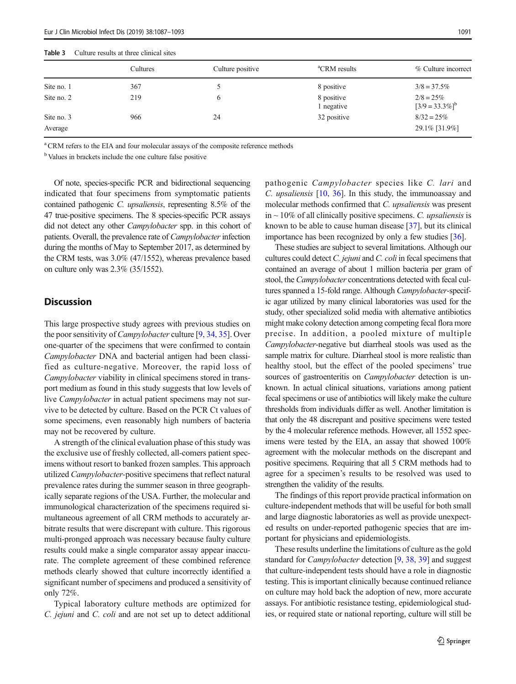| c sius i<br>Culture results at three Chillcal sites |          |                  |                          |                                              |  |  |
|-----------------------------------------------------|----------|------------------|--------------------------|----------------------------------------------|--|--|
|                                                     | Cultures | Culture positive | <sup>a</sup> CRM results | % Culture incorrect                          |  |  |
| Site no. 1                                          | 367      |                  | 8 positive               | $3/8 = 37.5\%$                               |  |  |
| Site no. 2                                          | 219      | 6                | 8 positive<br>1 negative | $2/8 = 25%$<br>$[3/9 = 33.3\%]$ <sup>b</sup> |  |  |
| Site no. 3                                          | 966      | 24               | 32 positive              | $8/32 = 25\%$                                |  |  |
| Average                                             |          |                  |                          | 29.1% [31.9%]                                |  |  |

<span id="page-4-0"></span>Table 3 Culture results at three clinical sites

<sup>a</sup> CRM refers to the EIA and four molecular assays of the composite reference methods

<sup>b</sup> Values in brackets include the one culture false positive

Of note, species-specific PCR and bidirectional sequencing indicated that four specimens from symptomatic patients contained pathogenic C. upsaliensis, representing 8.5% of the 47 true-positive specimens. The 8 species-specific PCR assays did not detect any other Campylobacter spp. in this cohort of patients. Overall, the prevalence rate of Campylobacter infection during the months of May to September 2017, as determined by the CRM tests, was 3.0% (47/1552), whereas prevalence based on culture only was 2.3% (35/1552).

# **Discussion**

This large prospective study agrees with previous studies on the poor sensitivity of Campylobacter culture [\[9](#page-5-0), [34](#page-6-0), [35](#page-6-0)]. Over one-quarter of the specimens that were confirmed to contain Campylobacter DNA and bacterial antigen had been classified as culture-negative. Moreover, the rapid loss of Campylobacter viability in clinical specimens stored in transport medium as found in this study suggests that low levels of live *Campylobacter* in actual patient specimens may not survive to be detected by culture. Based on the PCR Ct values of some specimens, even reasonably high numbers of bacteria may not be recovered by culture.

A strength of the clinical evaluation phase of this study was the exclusive use of freshly collected, all-comers patient specimens without resort to banked frozen samples. This approach utilized Campylobacter-positive specimens that reflect natural prevalence rates during the summer season in three geographically separate regions of the USA. Further, the molecular and immunological characterization of the specimens required simultaneous agreement of all CRM methods to accurately arbitrate results that were discrepant with culture. This rigorous multi-pronged approach was necessary because faulty culture results could make a single comparator assay appear inaccurate. The complete agreement of these combined reference methods clearly showed that culture incorrectly identified a significant number of specimens and produced a sensitivity of only 72%.

Typical laboratory culture methods are optimized for C. jejuni and C. coli and are not set up to detect additional pathogenic Campylobacter species like C. lari and C. upsaliensis [\[10,](#page-5-0) [36\]](#page-6-0). In this study, the immunoassay and molecular methods confirmed that C. upsaliensis was present in  $\sim$  10% of all clinically positive specimens. C. upsaliensis is known to be able to cause human disease [[37\]](#page-6-0), but its clinical importance has been recognized by only a few studies [\[36\]](#page-6-0).

These studies are subject to several limitations. Although our cultures could detect C. jejuni and C. coli in fecal specimens that contained an average of about 1 million bacteria per gram of stool, the Campylobacter concentrations detected with fecal cultures spanned a 15-fold range. Although Campylobacter-specific agar utilized by many clinical laboratories was used for the study, other specialized solid media with alternative antibiotics might make colony detection among competing fecal flora more precise. In addition, a pooled mixture of multiple Campylobacter-negative but diarrheal stools was used as the sample matrix for culture. Diarrheal stool is more realistic than healthy stool, but the effect of the pooled specimens' true sources of gastroenteritis on Campylobacter detection is unknown. In actual clinical situations, variations among patient fecal specimens or use of antibiotics will likely make the culture thresholds from individuals differ as well. Another limitation is that only the 48 discrepant and positive specimens were tested by the 4 molecular reference methods. However, all 1552 specimens were tested by the EIA, an assay that showed 100% agreement with the molecular methods on the discrepant and positive specimens. Requiring that all 5 CRM methods had to agree for a specimen's results to be resolved was used to strengthen the validity of the results.

The findings of this report provide practical information on culture-independent methods that will be useful for both small and large diagnostic laboratories as well as provide unexpected results on under-reported pathogenic species that are important for physicians and epidemiologists.

These results underline the limitations of culture as the gold standard for *Campylobacter* detection [\[9](#page-5-0), [38](#page-6-0), [39\]](#page-6-0) and suggest that culture-independent tests should have a role in diagnostic testing. This is important clinically because continued reliance on culture may hold back the adoption of new, more accurate assays. For antibiotic resistance testing, epidemiological studies, or required state or national reporting, culture will still be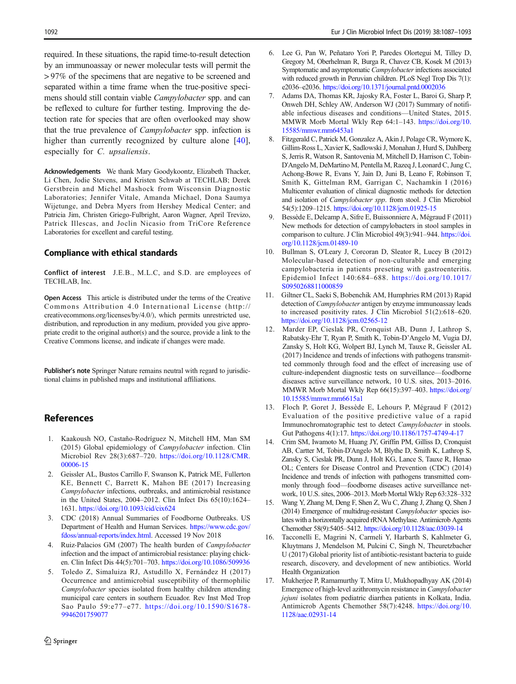<span id="page-5-0"></span>required. In these situations, the rapid time-to-result detection by an immunoassay or newer molecular tests will permit the > 97% of the specimens that are negative to be screened and separated within a time frame when the true-positive specimens should still contain viable Campylobacter spp. and can be reflexed to culture for further testing. Improving the detection rate for species that are often overlooked may show that the true prevalence of *Campylobacter* spp. infection is higher than currently recognized by culture alone [\[40](#page-6-0)], especially for C. upsaliensis.

Acknowledgements We thank Mary Goodykoontz, Elizabeth Thacker, Li Chen, Jodie Stevens, and Kristen Schwab at TECHLAB; Derek Gerstbrein and Michel Mashock from Wisconsin Diagnostic Laboratories; Jennifer Vitale, Amanda Michael, Dona Saumya Wijetunge, and Debra Myers from Hershey Medical Center; and Patricia Jim, Christen Griego-Fulbright, Aaron Wagner, April Trevizo, Patrick Illescas, and Joclin Nicasio from TriCore Reference Laboratories for excellent and careful testing.

## Compliance with ethical standards

Conflict of interest J.E.B., M.L.C, and S.D. are employees of TECHLAB, Inc.

Open Access This article is distributed under the terms of the Creative Commons Attribution 4.0 International License (http:// creativecommons.org/licenses/by/4.0/), which permits unrestricted use, distribution, and reproduction in any medium, provided you give appropriate credit to the original author(s) and the source, provide a link to the Creative Commons license, and indicate if changes were made.

Publisher's note Springer Nature remains neutral with regard to jurisdictional claims in published maps and institutional affiliations.

## References

- 1. Kaakoush NO, Castaño-Rodríguez N, Mitchell HM, Man SM (2015) Global epidemiology of Campylobacter infection. Clin Microbiol Rev 28(3):687–720. [https://doi.org/10.1128/CMR.](https://doi.org/10.1128/CMR.00006-15) [00006-15](https://doi.org/10.1128/CMR.00006-15)
- 2. Geissler AL, Bustos Carrillo F, Swanson K, Patrick ME, Fullerton KE, Bennett C, Barrett K, Mahon BE (2017) Increasing Campylobacter infections, outbreaks, and antimicrobial resistance in the United States, 2004–2012. Clin Infect Dis 65(10):1624– 1631. <https://doi.org/10.1093/cid/cix624>
- 3. CDC (2018) Annual Summaries of Foodborne Outbreaks. US Department of Health and Human Services. [https://www.cdc.gov/](https://www.cdc.gov/fdoss/annual-reports/index.html) [fdoss/annual-reports/index.html](https://www.cdc.gov/fdoss/annual-reports/index.html). Accessed 19 Nov 2018
- 4. Ruiz-Palacios GM (2007) The health burden of Campylobacter infection and the impact of antimicrobial resistance: playing chicken. Clin Infect Dis 44(5):701–703. <https://doi.org/10.1086/509936>
- 5. Toledo Z, Simaluiza RJ, Astudillo X, Fernández H (2017) Occurrence and antimicrobial susceptibility of thermophilic Campylobacter species isolated from healthy children attending municipal care centers in southern Ecuador. Rev Inst Med Trop Sao Paulo 59:e77–e77. [https://doi.org/10.1590/S1678-](https://doi.org/10.1590/S1678-9946201759077) [9946201759077](https://doi.org/10.1590/S1678-9946201759077)
- 6. Lee G, Pan W, Peñataro Yori P, Paredes Olortegui M, Tilley D, Gregory M, Oberhelman R, Burga R, Chavez CB, Kosek M (2013) Symptomatic and asymptomatic Campylobacter infections associated with reduced growth in Peruvian children. PLoS Negl Trop Dis 7(1): e2036–e2036. <https://doi.org/10.1371/journal.pntd.0002036>
- 7. Adams DA, Thomas KR, Jajosky RA, Foster L, Baroi G, Sharp P, Onweh DH, Schley AW, Anderson WJ (2017) Summary of notifiable infectious diseases and conditions—United States, 2015. MMWR Morb Mortal Wkly Rep 64:1–143. [https://doi.org/10.](https://doi.org/10.15585/mmwr.mm6453a1) [15585/mmwr.mm6453a1](https://doi.org/10.15585/mmwr.mm6453a1)
- 8. Fitzgerald C, Patrick M, Gonzalez A, Akin J, Polage CR, Wymore K, Gillim-Ross L, Xavier K, Sadlowski J, Monahan J, Hurd S, Dahlberg S, Jerris R, Watson R, Santovenia M, Mitchell D, Harrison C, Tobin-D'Angelo M, DeMartino M, Pentella M, Razeq J, Leonard C, Jung C, Achong-Bowe R, Evans Y, Jain D, Juni B, Leano F, Robinson T, Smith K, Gittelman RM, Garrigan C, Nachamkin I (2016) Multicenter evaluation of clinical diagnostic methods for detection and isolation of Campylobacter spp. from stool. J Clin Microbiol 54(5):1209–1215. <https://doi.org/10.1128/jcm.01925-15>
- 9. Bessède E, Delcamp A, Sifre E, Buissonniere A, Mégraud F (2011) New methods for detection of campylobacters in stool samples in comparison to culture. J Clin Microbiol 49(3):941–944. [https://doi.](https://doi.org/10.1128/jcm.01489-10) [org/10.1128/jcm.01489-10](https://doi.org/10.1128/jcm.01489-10)
- 10. Bullman S, O'Leary J, Corcoran D, Sleator R, Lucey B (2012) Molecular-based detection of non-culturable and emerging campylobacteria in patients preseting with gastroenteritis. Epidemiol Infect 140:684–688. [https://doi.org/10.1017/](https://doi.org/10.1017/S0950268811000859) [S0950268811000859](https://doi.org/10.1017/S0950268811000859)
- 11. Giltner CL, Saeki S, Bobenchik AM, Humphries RM (2013) Rapid detection of *Campylobacter* antigen by enzyme immunoassay leads to increased positivity rates. J Clin Microbiol 51(2):618–620. <https://doi.org/10.1128/jcm.02565-12>
- 12. Marder EP, Cieslak PR, Cronquist AB, Dunn J, Lathrop S, Rabatsky-Ehr T, Ryan P, Smith K, Tobin-D'Angelo M, Vugia DJ, Zansky S, Holt KG, Wolpert BJ, Lynch M, Tauxe R, Geissler AL (2017) Incidence and trends of infections with pathogens transmitted commonly through food and the effect of increasing use of culture-independent diagnostic tests on surveillance—foodborne diseases active surveillance network, 10 U.S. sites, 2013–2016. MMWR Morb Mortal Wkly Rep 66(15):397–403. [https://doi.org/](https://doi.org/10.15585/mmwr.mm6615a1) [10.15585/mmwr.mm6615a1](https://doi.org/10.15585/mmwr.mm6615a1)
- 13. Floch P, Goret J, Bessède E, Lehours P, Mégraud F (2012) Evaluation of the positive predictive value of a rapid Immunochromatographic test to detect Campylobacter in stools. Gut Pathogens 4(1):17. <https://doi.org/10.1186/1757-4749-4-17>
- 14. Crim SM, Iwamoto M, Huang JY, Griffin PM, Gilliss D, Cronquist AB, Cartter M, Tobin-D'Angelo M, Blythe D, Smith K, Lathrop S, Zansky S, Cieslak PR, Dunn J, Holt KG, Lance S, Tauxe R, Henao OL; Centers for Disease Control and Prevention (CDC) (2014) Incidence and trends of infection with pathogens transmitted commonly through food—foodborne diseases active surveillance network, 10 U.S. sites, 2006–2013. Morb Mortal Wkly Rep 63:328–332
- 15. Wang Y, Zhang M, Deng F, Shen Z, Wu C, Zhang J, Zhang Q, Shen J (2014) Emergence of multidrug-resistant Campylobacter species isolates with a horizontally acquired rRNA Methylase. Antimicrob Agents Chemother 58(9):5405–5412. <https://doi.org/10.1128/aac.03039-14>
- 16. Tacconelli E, Magrini N, Carmeli Y, Harbarth S, Kahlmeter G, Kluytmans J, Mendelson M, Pulcini C, Singh N, Theuretzbacher U (2017) Global priority list of antibiotic-resistant bacteria to guide research, discovery, and development of new antibiotics. World Health Organization
- Mukherjee P, Ramamurthy T, Mitra U, Mukhopadhyay AK (2014) Emergence of high-level azithromycin resistance in Campylobacter jejuni isolates from pediatric diarrhea patients in Kolkata, India. Antimicrob Agents Chemother 58(7):4248. [https://doi.org/10.](https://doi.org/10.1128/aac.02931-14) [1128/aac.02931-14](https://doi.org/10.1128/aac.02931-14)